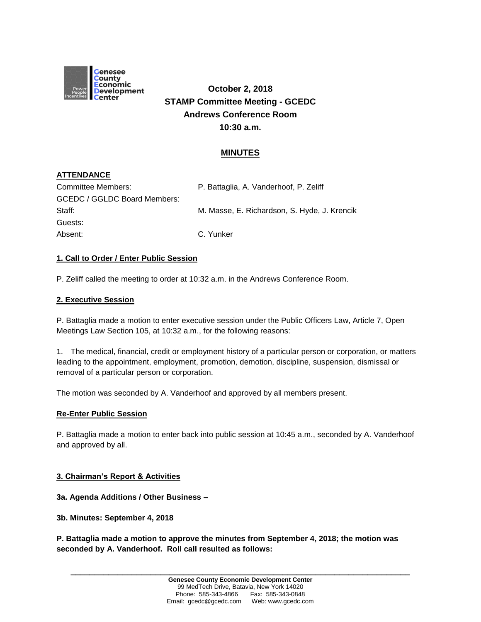

# **October 2, 2018 STAMP Committee Meeting - GCEDC Andrews Conference Room 10:30 a.m.**

# **MINUTES**

# **ATTENDANCE**

| Committee Members:           | P. Battaglia, A. Vanderhoof, P. Zeliff       |
|------------------------------|----------------------------------------------|
| GCEDC / GGLDC Board Members: |                                              |
| Staff:                       | M. Masse, E. Richardson, S. Hyde, J. Krencik |
| Guests:                      |                                              |
| Absent:                      | C. Yunker                                    |

#### **1. Call to Order / Enter Public Session**

P. Zeliff called the meeting to order at 10:32 a.m. in the Andrews Conference Room.

## **2. Executive Session**

P. Battaglia made a motion to enter executive session under the Public Officers Law, Article 7, Open Meetings Law Section 105, at 10:32 a.m., for the following reasons:

1. The medical, financial, credit or employment history of a particular person or corporation, or matters leading to the appointment, employment, promotion, demotion, discipline, suspension, dismissal or removal of a particular person or corporation.

The motion was seconded by A. Vanderhoof and approved by all members present.

#### **Re-Enter Public Session**

P. Battaglia made a motion to enter back into public session at 10:45 a.m., seconded by A. Vanderhoof and approved by all.

#### **3. Chairman's Report & Activities**

**3a. Agenda Additions / Other Business –**

**3b. Minutes: September 4, 2018**

**P. Battaglia made a motion to approve the minutes from September 4, 2018; the motion was seconded by A. Vanderhoof. Roll call resulted as follows:**

**\_\_\_\_\_\_\_\_\_\_\_\_\_\_\_\_\_\_\_\_\_\_\_\_\_\_\_\_\_\_\_\_\_\_\_\_\_\_\_\_\_\_\_\_\_\_\_\_\_\_\_\_\_\_\_\_\_\_\_\_\_\_\_\_\_\_\_\_\_\_\_\_**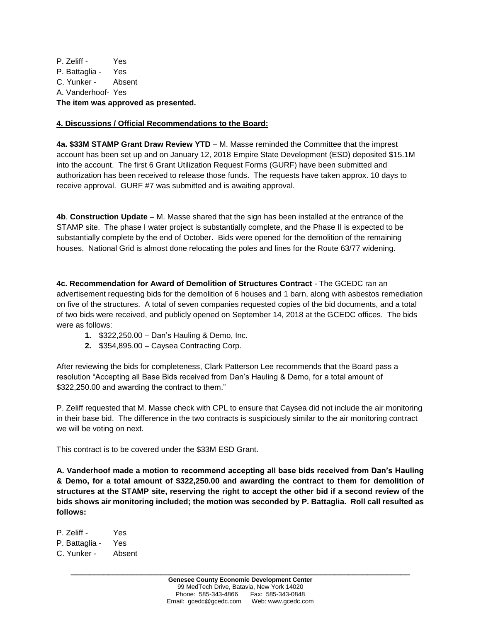P. Zeliff - Yes P. Battaglia - Yes C. Yunker - Absent A. Vanderhoof- Yes **The item was approved as presented.**

## **4. Discussions / Official Recommendations to the Board:**

**4a. \$33M STAMP Grant Draw Review YTD** – M. Masse reminded the Committee that the imprest account has been set up and on January 12, 2018 Empire State Development (ESD) deposited \$15.1M into the account. The first 6 Grant Utilization Request Forms (GURF) have been submitted and authorization has been received to release those funds. The requests have taken approx. 10 days to receive approval. GURF #7 was submitted and is awaiting approval.

**4b**. **Construction Update** – M. Masse shared that the sign has been installed at the entrance of the STAMP site. The phase I water project is substantially complete, and the Phase II is expected to be substantially complete by the end of October. Bids were opened for the demolition of the remaining houses. National Grid is almost done relocating the poles and lines for the Route 63/77 widening.

**4c. Recommendation for Award of Demolition of Structures Contract** - The GCEDC ran an advertisement requesting bids for the demolition of 6 houses and 1 barn, along with asbestos remediation on five of the structures. A total of seven companies requested copies of the bid documents, and a total of two bids were received, and publicly opened on September 14, 2018 at the GCEDC offices. The bids were as follows:

- **1.** \$322,250.00 Dan's Hauling & Demo, Inc.
- **2.** \$354,895.00 Caysea Contracting Corp.

After reviewing the bids for completeness, Clark Patterson Lee recommends that the Board pass a resolution "Accepting all Base Bids received from Dan's Hauling & Demo, for a total amount of \$322,250.00 and awarding the contract to them."

P. Zeliff requested that M. Masse check with CPL to ensure that Caysea did not include the air monitoring in their base bid. The difference in the two contracts is suspiciously similar to the air monitoring contract we will be voting on next.

This contract is to be covered under the \$33M ESD Grant.

**A. Vanderhoof made a motion to recommend accepting all base bids received from Dan's Hauling & Demo, for a total amount of \$322,250.00 and awarding the contract to them for demolition of structures at the STAMP site, reserving the right to accept the other bid if a second review of the bids shows air monitoring included; the motion was seconded by P. Battaglia. Roll call resulted as follows:**

P. Zeliff - Yes P. Battaglia - Yes C. Yunker - Absent

**\_\_\_\_\_\_\_\_\_\_\_\_\_\_\_\_\_\_\_\_\_\_\_\_\_\_\_\_\_\_\_\_\_\_\_\_\_\_\_\_\_\_\_\_\_\_\_\_\_\_\_\_\_\_\_\_\_\_\_\_\_\_\_\_\_\_\_\_\_\_\_\_**